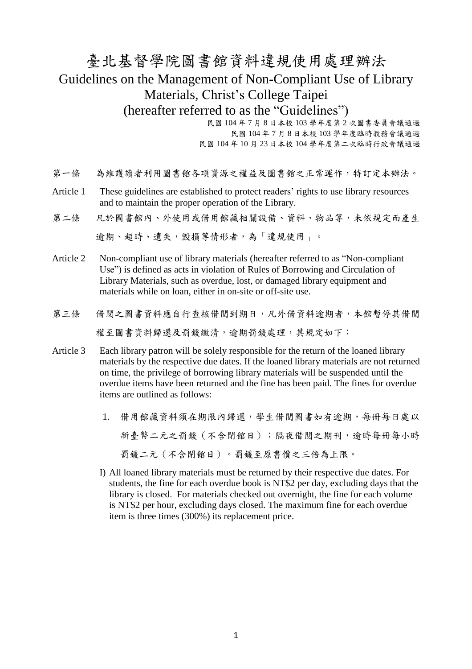## 臺北基督學院圖書館資料違規使用處理辦法 Guidelines on the Management of Non-Compliant Use of Library Materials, Christ's College Taipei (hereafter referred to as the "Guidelines")

民國 104 年 7 月 8 日本校 103 學年度第 2 次圖書委員會議通過 民國 104 年 7 月 8 日本校 103 學年度臨時教務會議通過 民國 104 年 10 月 23 日本校 104 學年度第二次臨時行政會議通過

- 第一條 為維護讀者利用圖書館各項資源之權益及圖書館之正常運作,特訂定本辦法。
- Article 1 These guidelines are established to protect readers' rights to use library resources and to maintain the proper operation of the Library.
- 第二條 凡於圖書館內、外使用或借用館藏相關設備、資料、物品等,未依規定而產生

逾期、超時、遺失,毀損等情形者,為「違規使用」。

- Article 2 Non-compliant use of library materials (hereafter referred to as "Non-compliant Use") is defined as acts in violation of Rules of Borrowing and Circulation of Library Materials, such as overdue, lost, or damaged library equipment and materials while on loan, either in on-site or off-site use.
- 第三條 借閱之圖書資料應自行查核借閱到期日,凡外借資料逾期者,本館暫停其借閱 權至圖書資料歸還及罰鍰繳清,逾期罰鍰處理,其規定如下:
- Article 3 Each library patron will be solely responsible for the return of the loaned library materials by the respective due dates. If the loaned library materials are not returned on time, the privilege of borrowing library materials will be suspended until the overdue items have been returned and the fine has been paid. The fines for overdue items are outlined as follows:
	- 1. 借用館藏資料須在期限內歸還,學生借閱圖書如有逾期,每冊每日處以 新臺幣二元之罰錢(不含閉館日);隔夜借閱之期刊,逾時每冊每小時 罰鍰二元(不含閉館日)。罰鍰至原書價之三倍為上限。
	- I) All loaned library materials must be returned by their respective due dates. For students, the fine for each overdue book is NT\$2 per day, excluding days that the library is closed. For materials checked out overnight, the fine for each volume is NT\$2 per hour, excluding days closed. The maximum fine for each overdue item is three times (300%) its replacement price.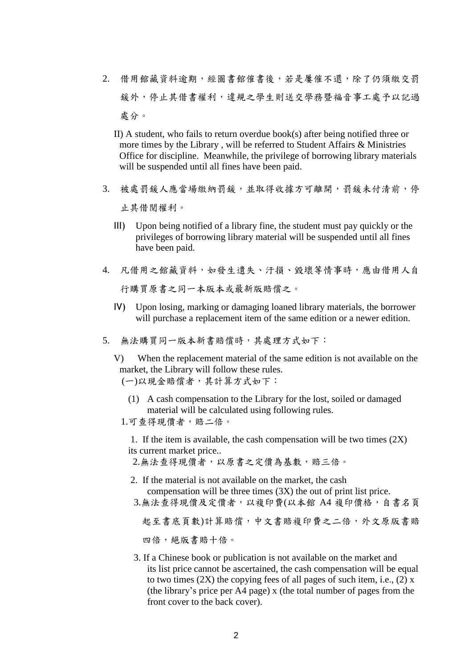- 2. 借用館藏資料逾期,經圖書館催書後,若是屢催不還,除了仍須繳交罰 鍰外,停止其借書權利,違規之學生則送交學務暨福音事工處予以記過 處分。
	- II) A student, who fails to return overdue book(s) after being notified three or more times by the Library , will be referred to Student Affairs & Ministries Office for discipline. Meanwhile, the privilege of borrowing library materials will be suspended until all fines have been paid.
- 3. 被處罰鍰人應當場繳納罰鍰,並取得收據方可離開,罰鍰未付清前,停 止其借閱權利。
	- III) Upon being notified of a library fine, the student must pay quickly or the privileges of borrowing library material will be suspended until all fines have been paid.
- 4. 凡借用之館藏資料,如發生遺失、汙損、毀壞等情事時,應由借用人自 行購買原書之同一本版本或最新版賠償之。
	- IV) Upon losing, marking or damaging loaned library materials, the borrower will purchase a replacement item of the same edition or a newer edition.
- 5. 無法購買同一版本新書賠償時,其處理方式如下:

V) When the replacement material of the same edition is not available on the market, the Library will follow these rules. (一)以現金賠償者,其計算方式如下:

(1) A cash compensation to the Library for the lost, soiled or damaged material will be calculated using following rules.

1. If the item is available, the cash compensation will be two times  $(2X)$ its current market price..

2.無法查得現價者,以原書之定價為基數,賠三倍。

- 2. If the material is not available on the market, the cash compensation will be three times (3X) the out of print list price.
- 3.無法查得現價及定價者,以複印費(以本館 A4 複印價格,自書名頁

起至書底頁數)計算賠償,中文書賠複印費之二倍,外文原版書賠

四倍,絕版書賠十倍。

3. If a Chinese book or publication is not available on the market and its list price cannot be ascertained, the cash compensation will be equal to two times  $(2X)$  the copying fees of all pages of such item, i.e.,  $(2)$  x (the library's price per A4 page) x (the total number of pages from the front cover to the back cover).

<sup>1.</sup>可查得現價者,賠二倍。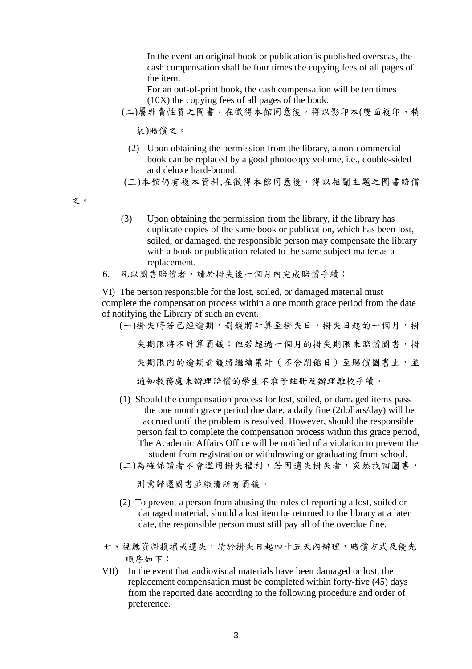In the event an original book or publication is published overseas, the cash compensation shall be four times the copying fees of all pages of the item.

For an out-of-print book, the cash compensation will be ten times (10X) the copying fees of all pages of the book.

(二)屬非賣性質之圖書,在徵得本館同意後,得以影印本(雙面複印、精

裝)賠償之。

(2) Upon obtaining the permission from the library, a non-commercial book can be replaced by a good photocopy volume, i.e., double-sided and deluxe hard-bound.

(三)本館仍有複本資料,在徵得本館同意後,得以相關主題之圖書賠償

之。

- (3) Upon obtaining the permission from the library, if the library has duplicate copies of the same book or publication, which has been lost, soiled, or damaged, the responsible person may compensate the library with a book or publication related to the same subject matter as a replacement.
- 6. 凡以圖書賠償者,請於掛失後一個月內完成賠償手續;

VI) The person responsible for the lost, soiled, or damaged material must complete the compensation process within a one month grace period from the date of notifying the Library of such an event.

(一)掛失時若已經逾期,罰錢將計算至掛失日,掛失日起的一個月,掛 失期限將不計算罰錢;但若超過一個月的掛失期限未賠償圖書,掛 失期限內的逾期罰錢將繼續累計(不含閉館日)至賠償圖書止,並 通知教務處未辦理賠償的學生不准予註冊及辦理離校手續。

- (1) Should the compensation process for lost, soiled, or damaged items pass the one month grace period due date, a daily fine (2dollars/day) will be accrued until the problem is resolved. However, should the responsible person fail to complete the compensation process within this grace period, The Academic Affairs Office will be notified of a violation to prevent the student from registration or withdrawing or graduating from school.
- (二)為確保讀者不會濫用掛失權利,若因遺失掛失者,突然找回圖書,

則需歸還圖書並繳清所有罰鍰。

- (2) To prevent a person from abusing the rules of reporting a lost, soiled or damaged material, should a lost item be returned to the library at a later date, the responsible person must still pay all of the overdue fine.
- 七、視聽資料損壞或遺失,請於掛失日起四十五天內辦理,賠償方式及優先 順序如下:
- VII) In the event that audiovisual materials have been damaged or lost, the replacement compensation must be completed within forty-five (45) days from the reported date according to the following procedure and order of preference.